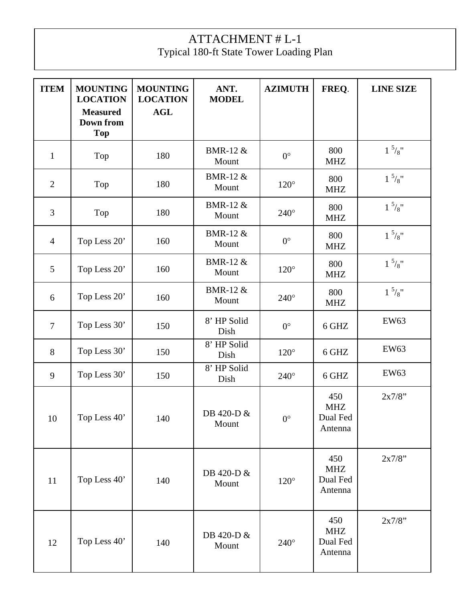## ATTACHMENT # L-1 Typical 180-ft State Tower Loading Plan

| <b>ITEM</b>    | <b>MOUNTING</b><br><b>LOCATION</b><br><b>Measured</b><br><b>Down from</b><br><b>Top</b> | <b>MOUNTING</b><br><b>LOCATION</b><br><b>AGL</b> | ANT.<br><b>MODEL</b>         | <b>AZIMUTH</b> | FREQ.                                    | <b>LINE SIZE</b> |
|----------------|-----------------------------------------------------------------------------------------|--------------------------------------------------|------------------------------|----------------|------------------------------------------|------------------|
| $\mathbf{1}$   | Top                                                                                     | 180                                              | <b>BMR-12 &amp;</b><br>Mount | $0^{\circ}$    | 800<br><b>MHZ</b>                        | $1\frac{5}{8}$ " |
| $\overline{2}$ | Top                                                                                     | 180                                              | <b>BMR-12 &amp;</b><br>Mount | $120^\circ$    | 800<br><b>MHZ</b>                        | $1\frac{5}{8}$ " |
| 3              | Top                                                                                     | 180                                              | <b>BMR-12 &amp;</b><br>Mount | $240^\circ$    | 800<br><b>MHZ</b>                        | $1\frac{5}{8}$ " |
| $\overline{4}$ | Top Less 20'                                                                            | 160                                              | <b>BMR-12 &amp;</b><br>Mount | $0^{\circ}$    | 800<br><b>MHZ</b>                        | $1\frac{5}{8}$ " |
| 5              | Top Less 20'                                                                            | 160                                              | <b>BMR-12 &amp;</b><br>Mount | $120^\circ$    | 800<br><b>MHZ</b>                        | $1\frac{5}{8}$ " |
| 6              | Top Less 20'                                                                            | 160                                              | <b>BMR-12 &amp;</b><br>Mount | $240^\circ$    | 800<br><b>MHZ</b>                        | $1\frac{5}{8}$ " |
| $\overline{7}$ | Top Less 30'                                                                            | 150                                              | 8' HP Solid<br>Dish          | $0^{\circ}$    | 6 GHZ                                    | EW63             |
| 8              | Top Less 30'                                                                            | 150                                              | 8' HP Solid<br>Dish          | $120^\circ$    | 6 GHZ                                    | <b>EW63</b>      |
| 9              | Top Less 30'                                                                            | 150                                              | 8' HP Solid<br>Dish          | $240^\circ$    | 6 GHZ                                    | <b>EW63</b>      |
| 10             | Top Less 40'                                                                            | 140                                              | DB 420-D &<br>Mount          | $0^{\circ}$    | 450<br><b>MHZ</b><br>Dual Fed<br>Antenna | 2x7/8"           |
| 11             | Top Less 40'                                                                            | 140                                              | DB 420-D &<br>Mount          | $120^\circ$    | 450<br><b>MHZ</b><br>Dual Fed<br>Antenna | 2x7/8"           |
| 12             | Top Less 40'                                                                            | 140                                              | DB 420-D &<br>Mount          | $240^\circ$    | 450<br><b>MHZ</b><br>Dual Fed<br>Antenna | 2x7/8"           |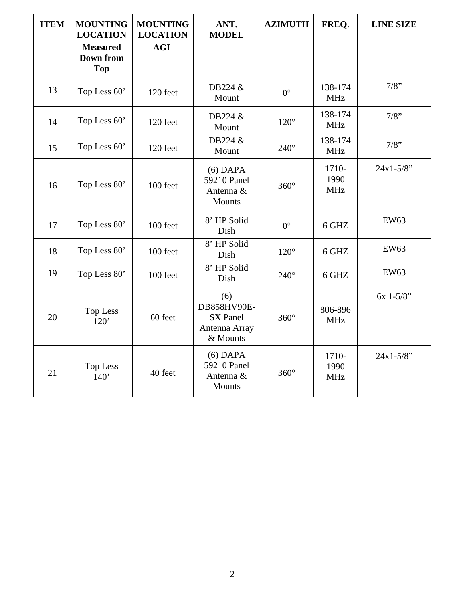| <b>ITEM</b> | <b>MOUNTING</b><br><b>LOCATION</b><br><b>Measured</b><br><b>Down from</b><br><b>Top</b> | <b>MOUNTING</b><br><b>LOCATION</b><br><b>AGL</b> | ANT.<br><b>MODEL</b>                                               | <b>AZIMUTH</b> | FREQ.                       | <b>LINE SIZE</b> |
|-------------|-----------------------------------------------------------------------------------------|--------------------------------------------------|--------------------------------------------------------------------|----------------|-----------------------------|------------------|
| 13          | Top Less 60'                                                                            | 120 feet                                         | DB224 &<br>Mount                                                   | $0^{\circ}$    | 138-174<br><b>MHz</b>       | 7/8"             |
| 14          | Top Less 60'                                                                            | 120 feet                                         | DB224 &<br>Mount                                                   | $120^\circ$    | 138-174<br><b>MHz</b>       | 7/8"             |
| 15          | Top Less 60'                                                                            | 120 feet                                         | DB224 &<br>Mount                                                   | $240^\circ$    | 138-174<br><b>MHz</b>       | 7/8"             |
| 16          | Top Less 80'                                                                            | 100 feet                                         | $(6)$ DAPA<br>59210 Panel<br>Antenna &<br>Mounts                   | $360^\circ$    | 1710-<br>1990<br><b>MHz</b> | $24x1 - 5/8$ "   |
| 17          | Top Less 80'                                                                            | 100 feet                                         | 8' HP Solid<br>Dish                                                | $0^{\circ}$    | 6 GHZ                       | <b>EW63</b>      |
| 18          | Top Less 80'                                                                            | 100 feet                                         | 8' HP Solid<br>Dish                                                | $120^\circ$    | 6 GHZ                       | <b>EW63</b>      |
| 19          | Top Less 80'                                                                            | 100 feet                                         | 8' HP Solid<br>Dish                                                | $240^\circ$    | 6 GHZ                       | <b>EW63</b>      |
| 20          | <b>Top Less</b><br>120'                                                                 | 60 feet                                          | (6)<br>DB858HV90E-<br><b>SX</b> Panel<br>Antenna Array<br>& Mounts | $360^\circ$    | 806-896<br><b>MHz</b>       | $6x$ 1-5/8"      |
| 21          | <b>Top Less</b><br>140'                                                                 | 40 feet                                          | $(6)$ DAPA<br>59210 Panel<br>Antenna &<br>Mounts                   | $360^\circ$    | 1710-<br>1990<br><b>MHz</b> | $24x1 - 5/8$ "   |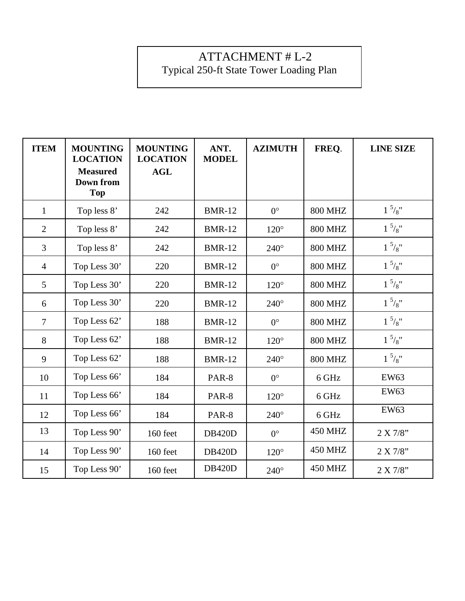## ATTACHMENT # L-2 Typical 250-ft State Tower Loading Plan

| <b>ITEM</b>    | <b>MOUNTING</b><br><b>LOCATION</b><br><b>Measured</b><br><b>Down from</b><br><b>Top</b> | <b>MOUNTING</b><br><b>LOCATION</b><br><b>AGL</b> | ANT.<br><b>MODEL</b> | <b>AZIMUTH</b> | FREQ.          | <b>LINE SIZE</b> |
|----------------|-----------------------------------------------------------------------------------------|--------------------------------------------------|----------------------|----------------|----------------|------------------|
| $\mathbf{1}$   | Top less 8'                                                                             | 242                                              | <b>BMR-12</b>        | $0^{\circ}$    | <b>800 MHZ</b> | $1\frac{5}{8}$ " |
| $\overline{2}$ | Top less 8'                                                                             | 242                                              | <b>BMR-12</b>        | $120^\circ$    | <b>800 MHZ</b> | $1\frac{5}{8}$ " |
| 3              | Top less 8'                                                                             | 242                                              | <b>BMR-12</b>        | $240^\circ$    | <b>800 MHZ</b> | $1\frac{5}{8}$ " |
| $\overline{4}$ | Top Less 30'                                                                            | 220                                              | <b>BMR-12</b>        | $0^{\circ}$    | <b>800 MHZ</b> | $1\frac{5}{8}$ " |
| 5              | Top Less 30'                                                                            | 220                                              | <b>BMR-12</b>        | $120^\circ$    | <b>800 MHZ</b> | $1\frac{5}{8}$ " |
| 6              | Top Less 30'                                                                            | 220                                              | <b>BMR-12</b>        | $240^\circ$    | <b>800 MHZ</b> | $1\frac{5}{8}$ " |
| $\overline{7}$ | Top Less 62'                                                                            | 188                                              | <b>BMR-12</b>        | $0^{\circ}$    | <b>800 MHZ</b> | $1\frac{5}{8}$ " |
| 8              | Top Less 62'                                                                            | 188                                              | <b>BMR-12</b>        | $120^\circ$    | <b>800 MHZ</b> | $1^{5}/8$ "      |
| 9              | Top Less 62'                                                                            | 188                                              | <b>BMR-12</b>        | $240^\circ$    | <b>800 MHZ</b> | $1\frac{5}{8}$ " |
| 10             | Top Less 66'                                                                            | 184                                              | PAR-8                | $0^{\circ}$    | 6 GHz          | <b>EW63</b>      |
| 11             | Top Less 66'                                                                            | 184                                              | PAR-8                | $120^\circ$    | 6 GHz          | <b>EW63</b>      |
| 12             | Top Less 66'                                                                            | 184                                              | PAR-8                | $240^\circ$    | 6 GHz          | <b>EW63</b>      |
| 13             | Top Less 90'                                                                            | 160 feet                                         | <b>DB420D</b>        | $0^{\circ}$    | 450 MHZ        | 2 X 7/8"         |
| 14             | Top Less 90'                                                                            | 160 feet                                         | <b>DB420D</b>        | $120^\circ$    | 450 MHZ        | 2 X 7/8"         |
| 15             | Top Less 90'                                                                            | 160 feet                                         | <b>DB420D</b>        | $240^\circ$    | <b>450 MHZ</b> | 2 X 7/8"         |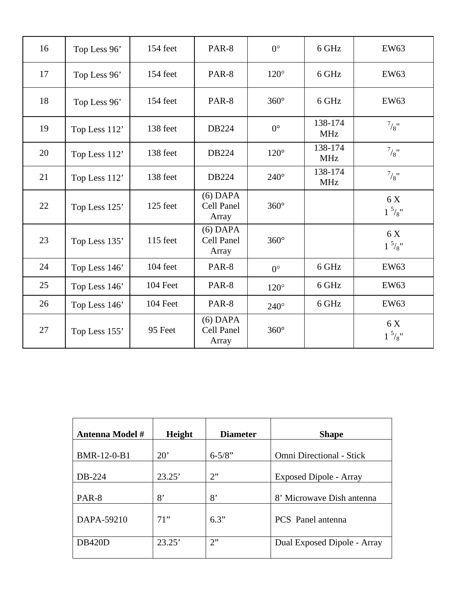| 16 | Top Less 96'  | 154 feet | PAR-8                             | $0^{\circ}$ | 6 GHz                 | <b>EW63</b>             |
|----|---------------|----------|-----------------------------------|-------------|-----------------------|-------------------------|
| 17 | Top Less 96'  | 154 feet | PAR-8                             | $120^\circ$ | 6 GHz                 | EW63                    |
| 18 | Top Less 96'  | 154 feet | PAR-8                             | $360^\circ$ | 6 GHz                 | <b>EW63</b>             |
| 19 | Top Less 112' | 138 feet | DB224                             | $0^{\circ}$ | 138-174<br><b>MHz</b> | $^{7}/\mathrm{g}$ "     |
| 20 | Top Less 112' | 138 feet | DB224                             | $120^\circ$ | 138-174<br><b>MHz</b> | $^{7}/_{8}$ "           |
| 21 | Top Less 112' | 138 feet | DB224                             | $240^\circ$ | 138-174<br><b>MHz</b> | $^{7}/_{8}$ "           |
| 22 | Top Less 125' | 125 feet | $(6)$ DAPA<br>Cell Panel<br>Array | $360^\circ$ |                       | 6 X<br>$1\frac{5}{8}$ " |
| 23 | Top Less 135' | 115 feet | $(6)$ DAPA<br>Cell Panel<br>Array | $360^\circ$ |                       | 6 X<br>$1\frac{5}{8}$ " |
| 24 | Top Less 146' | 104 feet | PAR-8                             | $0^{\circ}$ | 6 GHz                 | <b>EW63</b>             |
| 25 | Top Less 146' | 104 Feet | PAR-8                             | $120^\circ$ | 6 GHz                 | <b>EW63</b>             |
| 26 | Top Less 146' | 104 Feet | PAR-8                             | $240^\circ$ | 6 GHz                 | <b>EW63</b>             |
| 27 | Top Less 155' | 95 Feet  | $(6)$ DAPA<br>Cell Panel<br>Array | $360^\circ$ |                       | 6 X<br>$1\frac{5}{8}$ " |

| <b>Antenna Model #</b> | Height       | <b>Diameter</b> | <b>Shape</b>                    |
|------------------------|--------------|-----------------|---------------------------------|
| BMR-12-0-B1            | $20^{\circ}$ | $6 - 5/8$ "     | <b>Omni Directional - Stick</b> |
| DB-224                 | 23.25'       | 2"              | Exposed Dipole - Array          |
| PAR-8                  | 8'           | 8'              | 8' Microwave Dish antenna       |
| DAPA-59210             | 71"          | 6.3"            | <b>PCS</b> Panel antenna        |
| <b>DB420D</b>          | 23.25'       | 2"              | Dual Exposed Dipole - Array     |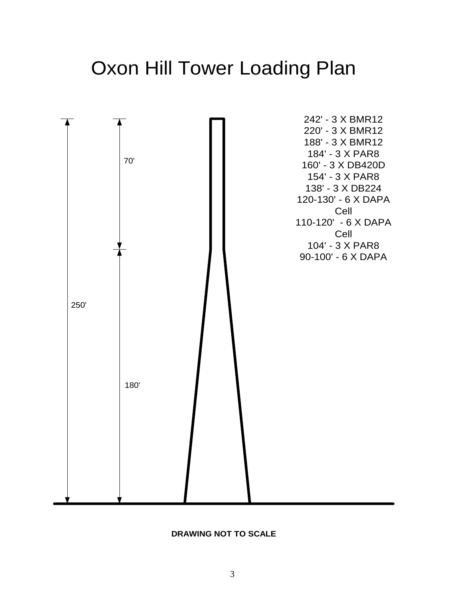# Oxon Hill Tower Loading Plan



#### **DRAWING NOT TO SCALE**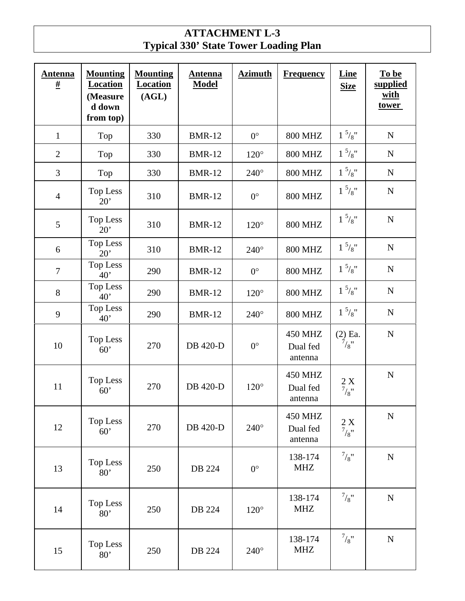### **ATTACHMENT L-3 Typical 330' State Tower Loading Plan**

| <b>Antenna</b><br># | <b>Mounting</b><br><b>Location</b><br>(Measure<br>d down<br>from top) | <b>Mounting</b><br><b>Location</b><br>(AGL) | <b>Antenna</b><br><b>Model</b> | <b>Azimuth</b> | <b>Frequency</b>                      | <b>Line</b><br><b>Size</b>                        | To be<br>supplied<br>with<br><u>tower</u> |
|---------------------|-----------------------------------------------------------------------|---------------------------------------------|--------------------------------|----------------|---------------------------------------|---------------------------------------------------|-------------------------------------------|
| $\mathbf{1}$        | Top                                                                   | 330                                         | <b>BMR-12</b>                  | $0^{\circ}$    | <b>800 MHZ</b>                        | $1\frac{5}{8}$ "                                  | ${\bf N}$                                 |
| $\overline{2}$      | Top                                                                   | 330                                         | <b>BMR-12</b>                  | $120^\circ$    | <b>800 MHZ</b>                        | $1\frac{5}{8}$ "                                  | ${\bf N}$                                 |
| 3                   | Top                                                                   | 330                                         | <b>BMR-12</b>                  | $240^\circ$    | <b>800 MHZ</b>                        | $1\frac{5}{8}$ "                                  | ${\bf N}$                                 |
| $\overline{4}$      | Top Less<br>20'                                                       | 310                                         | <b>BMR-12</b>                  | $0^{\circ}$    | <b>800 MHZ</b>                        | $1\frac{5}{8}$ "                                  | ${\bf N}$                                 |
| 5                   | Top Less<br>20'                                                       | 310                                         | <b>BMR-12</b>                  | $120^\circ$    | <b>800 MHZ</b>                        | $1\frac{5}{8}$ "                                  | ${\bf N}$                                 |
| 6                   | Top Less<br>20'                                                       | 310                                         | <b>BMR-12</b>                  | $240^\circ$    | <b>800 MHZ</b>                        | $1\frac{5}{8}$ "                                  | ${\bf N}$                                 |
| $\overline{7}$      | Top Less<br>40'                                                       | 290                                         | <b>BMR-12</b>                  | $0^{\circ}$    | <b>800 MHZ</b>                        | $1\frac{5}{8}$ "                                  | ${\bf N}$                                 |
| 8                   | Top Less<br>40'                                                       | 290                                         | <b>BMR-12</b>                  | $120^\circ$    | <b>800 MHZ</b>                        | $1\frac{5}{8}$ "                                  | ${\bf N}$                                 |
| 9                   | <b>Top Less</b><br>40'                                                | 290                                         | <b>BMR-12</b>                  | $240^\circ$    | <b>800 MHZ</b>                        | $1^{5}/8$ "                                       | ${\bf N}$                                 |
| 10                  | Top Less<br>60'                                                       | 270                                         | <b>DB</b> 420-D                | $0^{\circ}$    | <b>450 MHZ</b><br>Dual fed<br>antenna | $(2)$ Ea.<br>$^{7}/_{8}$ "                        | ${\bf N}$                                 |
| 11                  | <b>Top Less</b><br>60'                                                | 270                                         | <b>DB</b> 420-D                | $120^\circ$    | <b>450 MHZ</b><br>Dual fed<br>antenna | $\frac{2}{7}\frac{\text{X}}{\text{X}^{\text{H}}}$ | ${\bf N}$                                 |
| 12                  | <b>Top Less</b><br>60'                                                | 270                                         | DB 420-D                       | $240^\circ$    | 450 MHZ<br>Dual fed<br>antenna        | $\frac{2 \text{ X}}{\frac{7}{8}}$                 | ${\bf N}$                                 |
| 13                  | <b>Top Less</b><br>80'                                                | 250                                         | DB 224                         | $0^{\circ}$    | 138-174<br><b>MHZ</b>                 | $^{7}/_{8}$ "                                     | ${\bf N}$                                 |
| 14                  | <b>Top Less</b><br>80'                                                | 250                                         | DB 224                         | $120^\circ$    | 138-174<br><b>MHZ</b>                 | $^{7}/_{8}$ "                                     | ${\bf N}$                                 |
| 15                  | <b>Top Less</b><br>80'                                                | 250                                         | DB 224                         | $240^\circ$    | 138-174<br><b>MHZ</b>                 | $^{7}/_{8}$ "                                     | ${\bf N}$                                 |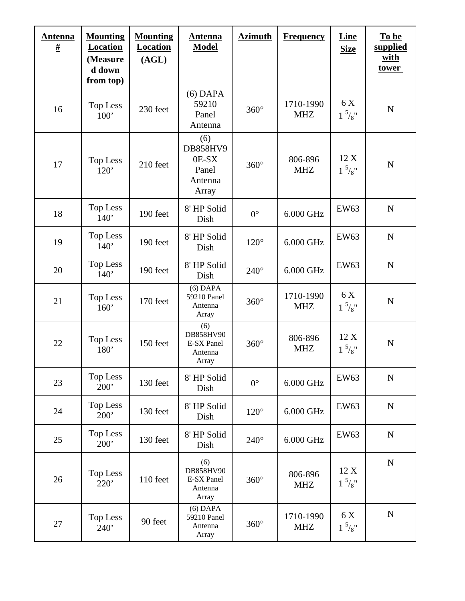| <b>Antenna</b><br><u>#</u> | <b>Mounting</b><br><b>Location</b><br>(Measure<br>d down<br>from top) | <b>Mounting</b><br><b>Location</b><br>(AGL) | <b>Antenna</b><br><b>Model</b>                               | <b>Azimuth</b> | <b>Frequency</b>        | Line<br><b>Size</b>      | To be<br>supplied<br><u>with</u><br><u>tower</u> |
|----------------------------|-----------------------------------------------------------------------|---------------------------------------------|--------------------------------------------------------------|----------------|-------------------------|--------------------------|--------------------------------------------------|
| 16                         | <b>Top Less</b><br>100'                                               | 230 feet                                    | $(6)$ DAPA<br>59210<br>Panel<br>Antenna                      | $360^\circ$    | 1710-1990<br><b>MHZ</b> | 6 X<br>$1\frac{5}{8}$ "  | $\mathbf N$                                      |
| 17                         | <b>Top Less</b><br>120'                                               | 210 feet                                    | (6)<br><b>DB858HV9</b><br>0E-SX<br>Panel<br>Antenna<br>Array | $360^\circ$    | 806-896<br><b>MHZ</b>   | 12X<br>$1\frac{5}{8}$ "  | $\mathbf N$                                      |
| 18                         | Top Less<br>140'                                                      | 190 feet                                    | 8' HP Solid<br>Dish                                          | $0^{\circ}$    | 6.000 GHz               | <b>EW63</b>              | $\mathbf N$                                      |
| 19                         | Top Less<br>140'                                                      | 190 feet                                    | 8' HP Solid<br>Dish                                          | $120^\circ$    | 6.000 GHz               | <b>EW63</b>              | $\mathbf N$                                      |
| 20                         | Top Less<br>140'                                                      | 190 feet                                    | 8' HP Solid<br>Dish                                          | $240^\circ$    | 6.000 GHz               | <b>EW63</b>              | $\mathbf N$                                      |
| 21                         | <b>Top Less</b><br>160'                                               | 170 feet                                    | $(6)$ DAPA<br>59210 Panel<br>Antenna<br>Array                | $360^\circ$    | 1710-1990<br><b>MHZ</b> | 6 X<br>$1\frac{5}{8}$ "  | $\mathbf N$                                      |
| 22                         | Top Less<br>180 <sup>'</sup>                                          | 150 feet                                    | (6)<br>DB858HV90<br>E-SX Panel<br>Antenna<br>Array           | $360^\circ$    | 806-896<br><b>MHZ</b>   | 12 X<br>$1\frac{5}{8}$ " | $\mathbf N$                                      |
| 23                         | <b>Top Less</b><br>200'                                               | 130 feet                                    | 8' HP Solid<br>Dish                                          | $0^{\circ}$    | 6.000 GHz               | <b>EW63</b>              | $\mathbf N$                                      |
| 24                         | <b>Top Less</b><br>200'                                               | 130 feet                                    | 8' HP Solid<br>Dish                                          | $120^\circ$    | 6.000 GHz               | <b>EW63</b>              | $\mathbf N$                                      |
| 25                         | <b>Top Less</b><br>200'                                               | 130 feet                                    | 8' HP Solid<br>Dish                                          | $240^\circ$    | 6.000 GHz               | EW63                     | $\mathbf N$                                      |
| 26                         | <b>Top Less</b><br>220'                                               | 110 feet                                    | (6)<br>DB858HV90<br>E-SX Panel<br>Antenna<br>Array           | $360^\circ$    | 806-896<br><b>MHZ</b>   | 12 X<br>$1\frac{5}{8}$ " | $\mathbf N$                                      |
| 27                         | Top Less<br>240'                                                      | 90 feet                                     | $(6)$ DAPA<br>59210 Panel<br>Antenna<br>Array                | $360^\circ$    | 1710-1990<br><b>MHZ</b> | 6 X<br>$1\frac{5}{8}$ "  | $\mathbf N$                                      |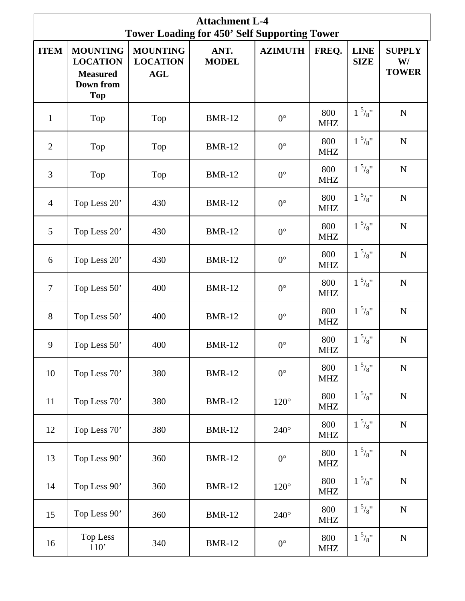| <b>Attachment L-4</b><br><b>Tower Loading for 450' Self Supporting Tower</b> |                                                                                         |                                                  |                      |                |                                    |                            |                                     |  |  |  |  |
|------------------------------------------------------------------------------|-----------------------------------------------------------------------------------------|--------------------------------------------------|----------------------|----------------|------------------------------------|----------------------------|-------------------------------------|--|--|--|--|
| <b>ITEM</b>                                                                  | <b>MOUNTING</b><br><b>LOCATION</b><br><b>Measured</b><br><b>Down from</b><br><b>Top</b> | <b>MOUNTING</b><br><b>LOCATION</b><br><b>AGL</b> | ANT.<br><b>MODEL</b> | <b>AZIMUTH</b> | FREQ.                              | <b>LINE</b><br><b>SIZE</b> | <b>SUPPLY</b><br>W/<br><b>TOWER</b> |  |  |  |  |
| $\mathbf{1}$                                                                 | Top                                                                                     | Top                                              | <b>BMR-12</b>        | $0^{\circ}$    | 800<br><b>MHZ</b>                  | $1\frac{5}{8}$ "           | $\mathbf N$                         |  |  |  |  |
| $\overline{2}$                                                               | Top                                                                                     | Top                                              | <b>BMR-12</b>        | $0^{\circ}$    | 800<br><b>MHZ</b>                  | $1^{5}/8"$                 | ${\bf N}$                           |  |  |  |  |
| 3                                                                            | Top                                                                                     | Top                                              | <b>BMR-12</b>        | $0^{\circ}$    | 800<br><b>MHZ</b>                  | $1^{5}/8"$                 | ${\bf N}$                           |  |  |  |  |
| $\overline{4}$                                                               | Top Less 20'                                                                            | 430                                              | <b>BMR-12</b>        | $0^{\circ}$    | 800<br><b>MHZ</b>                  | $1^{5}/8"$                 | ${\bf N}$                           |  |  |  |  |
| 5                                                                            | Top Less 20'                                                                            | 430                                              | <b>BMR-12</b>        | $0^{\circ}$    | 800<br><b>MHZ</b>                  | $1\frac{5}{8}$ "           | ${\bf N}$                           |  |  |  |  |
| 6                                                                            | Top Less 20'                                                                            | 430                                              | <b>BMR-12</b>        | $0^{\circ}$    | 800<br><b>MHZ</b>                  | $1\frac{5}{8}$ "           | ${\bf N}$                           |  |  |  |  |
| $\overline{7}$                                                               | Top Less 50'                                                                            | 400                                              | <b>BMR-12</b>        | $0^{\circ}$    | 800<br><b>MHZ</b>                  | $1^{5}/8$ "                | ${\bf N}$                           |  |  |  |  |
| 8                                                                            | Top Less 50'                                                                            | 400                                              | <b>BMR-12</b>        | $0^{\circ}$    | 800<br><b>MHZ</b>                  | $1\frac{5}{8}$ "           | ${\bf N}$                           |  |  |  |  |
| 9                                                                            | Top Less 50'                                                                            | 400                                              | <b>BMR-12</b>        | $0^{\circ}$    | 800<br>$\ensuremath{\mathsf{MHz}}$ | $1\frac{5}{8}$ "           | $\mathbf N$                         |  |  |  |  |
| 10                                                                           | Top Less 70'                                                                            | 380                                              | <b>BMR-12</b>        | $0^{\circ}$    | 800<br><b>MHZ</b>                  | $1\frac{5}{8}$ "           | ${\bf N}$                           |  |  |  |  |
| 11                                                                           | Top Less 70'                                                                            | 380                                              | <b>BMR-12</b>        | $120^\circ$    | 800<br><b>MHZ</b>                  | $1\frac{5}{8}$ "           | ${\bf N}$                           |  |  |  |  |
| 12                                                                           | Top Less 70'                                                                            | 380                                              | <b>BMR-12</b>        | $240^\circ$    | 800<br><b>MHZ</b>                  | $1\frac{5}{8}$ "           | ${\bf N}$                           |  |  |  |  |
| 13                                                                           | Top Less 90'                                                                            | 360                                              | <b>BMR-12</b>        | $0^{\circ}$    | 800<br><b>MHZ</b>                  | $1\frac{5}{8}$ "           | ${\bf N}$                           |  |  |  |  |
| 14                                                                           | Top Less 90'                                                                            | 360                                              | <b>BMR-12</b>        | $120^\circ$    | 800<br><b>MHZ</b>                  | $1^{5}/8"$                 | ${\bf N}$                           |  |  |  |  |
| 15                                                                           | Top Less 90'                                                                            | 360                                              | <b>BMR-12</b>        | $240^\circ$    | 800<br><b>MHZ</b>                  | $1^{5}/8"$                 | ${\bf N}$                           |  |  |  |  |
| 16                                                                           | <b>Top Less</b><br>$110'$                                                               | 340                                              | <b>BMR-12</b>        | $0^{\circ}$    | 800<br><b>MHZ</b>                  | $1^{5}/8$ "                | ${\bf N}$                           |  |  |  |  |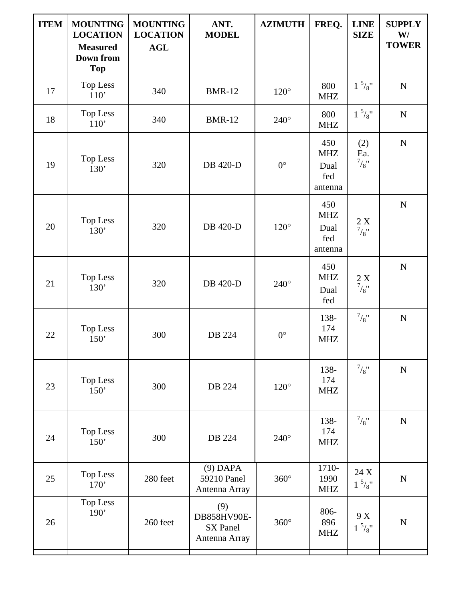| <b>ITEM</b> | <b>MOUNTING</b><br><b>LOCATION</b><br><b>Measured</b><br><b>Down from</b><br><b>Top</b> | <b>MOUNTING</b><br><b>LOCATION</b><br><b>AGL</b> | ANT.<br><b>MODEL</b>                            | <b>AZIMUTH</b> | FREQ.                                       | <b>LINE</b><br><b>SIZE</b>                                 | <b>SUPPLY</b><br>W/<br><b>TOWER</b> |
|-------------|-----------------------------------------------------------------------------------------|--------------------------------------------------|-------------------------------------------------|----------------|---------------------------------------------|------------------------------------------------------------|-------------------------------------|
| 17          | <b>Top Less</b><br>110'                                                                 | 340                                              | <b>BMR-12</b>                                   | $120^\circ$    | 800<br><b>MHZ</b>                           | $1\frac{5}{8}$ "                                           | ${\bf N}$                           |
| 18          | Top Less<br>110'                                                                        | 340                                              | <b>BMR-12</b>                                   | $240^\circ$    | 800<br><b>MHZ</b>                           | $1^{5}/8"$                                                 | ${\bf N}$                           |
| 19          | Top Less<br>130'                                                                        | 320                                              | DB 420-D                                        | $0^{\circ}$    | 450<br><b>MHZ</b><br>Dual<br>fed<br>antenna | (2)<br>Ea.<br>$^{7}/_{8}$ "                                | $\mathbf N$                         |
| 20          | Top Less<br>130'                                                                        | 320                                              | <b>DB</b> 420-D                                 | $120^\circ$    | 450<br><b>MHZ</b><br>Dual<br>fed<br>antenna | 2 X<br>$^{7}/_{8}$ "                                       | ${\bf N}$                           |
| 21          | <b>Top Less</b><br>130'                                                                 | 320                                              | <b>DB</b> 420-D                                 | $240^\circ$    | 450<br><b>MHZ</b><br>Dual<br>fed            | $\frac{2}{7}\begin{bmatrix} X\\ \frac{7}{8} \end{bmatrix}$ | $\mathbf N$                         |
| 22          | <b>Top Less</b><br>150'                                                                 | 300                                              | DB 224                                          | $0^{\circ}$    | 138-<br>174<br><b>MHZ</b>                   | $^{7}/_{8}$ "                                              | $\mathbf N$                         |
| 23          | Top Less<br>150'                                                                        | 300                                              | DB 224                                          | $120^\circ$    | 138-<br>174<br><b>MHZ</b>                   | $^{7}/_{8}$ "                                              | ${\bf N}$                           |
| 24          | Top Less<br>150'                                                                        | 300                                              | DB 224                                          | $240^\circ$    | 138-<br>174<br><b>MHZ</b>                   | $^{7}/_{8}$ "                                              | $\mathbf N$                         |
| 25          | Top Less<br>170'                                                                        | 280 feet                                         | $(9)$ DAPA<br>59210 Panel<br>Antenna Array      | $360^\circ$    | 1710-<br>1990<br><b>MHZ</b>                 | 24 X<br>$1\frac{5}{8}$ "                                   | $\mathbf N$                         |
| 26          | Top Less<br>190'                                                                        | 260 feet                                         | (9)<br>DB858HV90E-<br>SX Panel<br>Antenna Array | $360^\circ$    | 806-<br>896<br><b>MHZ</b>                   | 9 X<br>$1\frac{5}{8}$ "                                    | $\mathbf N$                         |